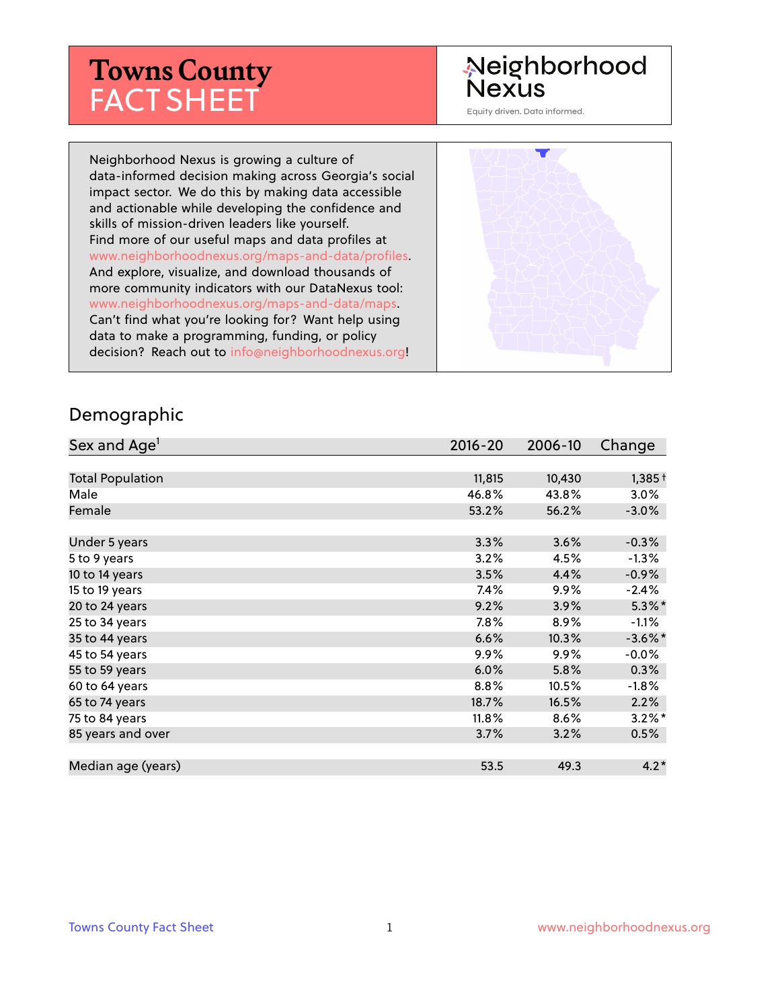# **Towns County** FACT SHEET

# Neighborhood Nexus

Equity driven. Data informed.

Neighborhood Nexus is growing a culture of data-informed decision making across Georgia's social impact sector. We do this by making data accessible and actionable while developing the confidence and skills of mission-driven leaders like yourself. Find more of our useful maps and data profiles at www.neighborhoodnexus.org/maps-and-data/profiles. And explore, visualize, and download thousands of more community indicators with our DataNexus tool: www.neighborhoodnexus.org/maps-and-data/maps. Can't find what you're looking for? Want help using data to make a programming, funding, or policy decision? Reach out to [info@neighborhoodnexus.org!](mailto:info@neighborhoodnexus.org)



#### Demographic

| Sex and Age <sup>1</sup> | $2016 - 20$ | 2006-10 | Change     |
|--------------------------|-------------|---------|------------|
|                          |             |         |            |
| <b>Total Population</b>  | 11,815      | 10,430  | $1,385+$   |
| Male                     | 46.8%       | 43.8%   | 3.0%       |
| Female                   | 53.2%       | 56.2%   | $-3.0\%$   |
|                          |             |         |            |
| Under 5 years            | 3.3%        | 3.6%    | $-0.3%$    |
| 5 to 9 years             | 3.2%        | 4.5%    | $-1.3%$    |
| 10 to 14 years           | 3.5%        | 4.4%    | $-0.9\%$   |
| 15 to 19 years           | 7.4%        | 9.9%    | $-2.4%$    |
| 20 to 24 years           | 9.2%        | 3.9%    | $5.3\%$ *  |
| 25 to 34 years           | 7.8%        | 8.9%    | $-1.1%$    |
| 35 to 44 years           | 6.6%        | 10.3%   | $-3.6\%$ * |
| 45 to 54 years           | $9.9\%$     | $9.9\%$ | $-0.0\%$   |
| 55 to 59 years           | 6.0%        | 5.8%    | 0.3%       |
| 60 to 64 years           | 8.8%        | 10.5%   | $-1.8%$    |
| 65 to 74 years           | 18.7%       | 16.5%   | 2.2%       |
| 75 to 84 years           | $11.8\%$    | 8.6%    | $3.2\%$ *  |
| 85 years and over        | 3.7%        | 3.2%    | 0.5%       |
|                          |             |         |            |
| Median age (years)       | 53.5        | 49.3    | $4.2*$     |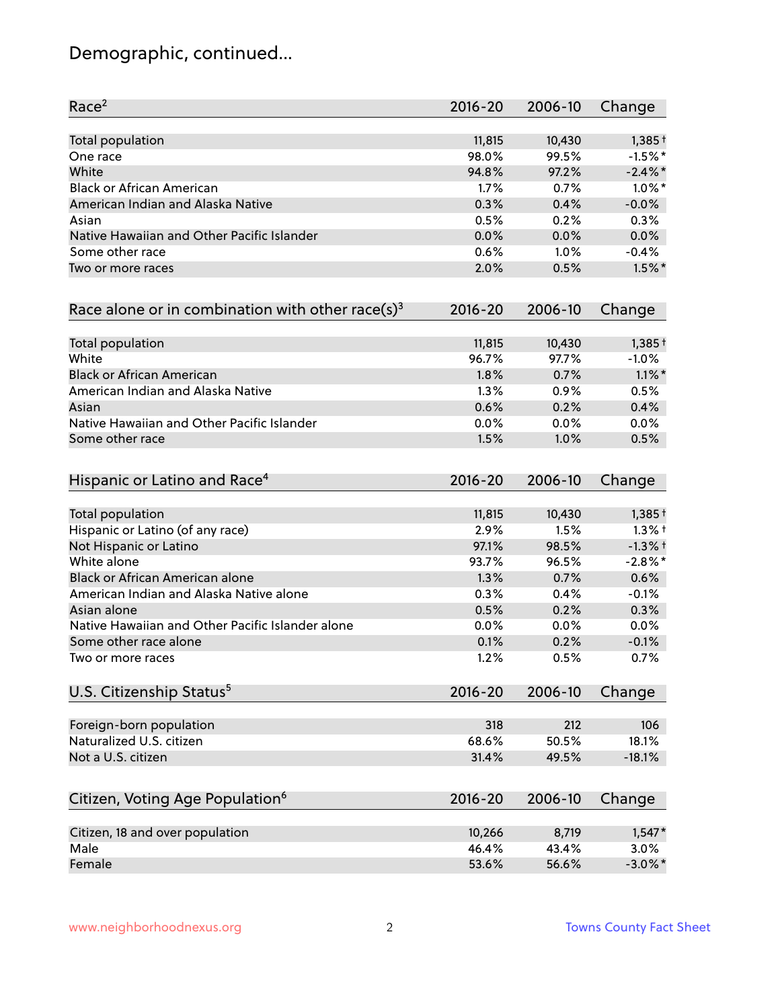# Demographic, continued...

| Race <sup>2</sup>                                   | $2016 - 20$ | 2006-10 | Change     |
|-----------------------------------------------------|-------------|---------|------------|
| <b>Total population</b>                             | 11,815      | 10,430  | $1,385+$   |
| One race                                            | 98.0%       | 99.5%   | $-1.5%$ *  |
| White                                               | 94.8%       | 97.2%   | $-2.4\%$ * |
| <b>Black or African American</b>                    | 1.7%        | 0.7%    | $1.0\%$ *  |
| American Indian and Alaska Native                   | 0.3%        | 0.4%    | $-0.0%$    |
| Asian                                               | 0.5%        | 0.2%    | 0.3%       |
| Native Hawaiian and Other Pacific Islander          | 0.0%        | 0.0%    | 0.0%       |
| Some other race                                     | 0.6%        | 1.0%    | $-0.4%$    |
| Two or more races                                   | 2.0%        | 0.5%    | $1.5\%$ *  |
| Race alone or in combination with other race(s) $3$ | $2016 - 20$ | 2006-10 | Change     |
| Total population                                    | 11,815      | 10,430  | $1,385+$   |
| White                                               | 96.7%       | 97.7%   | $-1.0%$    |
| <b>Black or African American</b>                    | 1.8%        | 0.7%    | $1.1\%$ *  |
| American Indian and Alaska Native                   | 1.3%        | 0.9%    | 0.5%       |
| Asian                                               | 0.6%        | 0.2%    | 0.4%       |
| Native Hawaiian and Other Pacific Islander          | 0.0%        | 0.0%    | 0.0%       |
| Some other race                                     | 1.5%        | 1.0%    | 0.5%       |
| Hispanic or Latino and Race <sup>4</sup>            | $2016 - 20$ | 2006-10 | Change     |
| <b>Total population</b>                             | 11,815      | 10,430  | $1,385+$   |
| Hispanic or Latino (of any race)                    | 2.9%        | 1.5%    | $1.3%$ †   |
| Not Hispanic or Latino                              | 97.1%       | 98.5%   | $-1.3%$ +  |
| White alone                                         | 93.7%       | 96.5%   | $-2.8\%$ * |
| Black or African American alone                     | 1.3%        | 0.7%    | 0.6%       |
| American Indian and Alaska Native alone             | 0.3%        | 0.4%    | $-0.1%$    |
| Asian alone                                         | 0.5%        | 0.2%    | 0.3%       |
| Native Hawaiian and Other Pacific Islander alone    | 0.0%        | 0.0%    | 0.0%       |
| Some other race alone                               | 0.1%        | 0.2%    | $-0.1%$    |
| Two or more races                                   | 1.2%        | 0.5%    | 0.7%       |
| U.S. Citizenship Status <sup>5</sup>                | $2016 - 20$ | 2006-10 | Change     |
| Foreign-born population                             | 318         | 212     | 106        |
| Naturalized U.S. citizen                            | 68.6%       | 50.5%   | 18.1%      |
| Not a U.S. citizen                                  | 31.4%       | 49.5%   | $-18.1%$   |
|                                                     | $2016 - 20$ | 2006-10 |            |
| Citizen, Voting Age Population <sup>6</sup>         |             |         | Change     |
| Citizen, 18 and over population                     | 10,266      | 8,719   | $1,547*$   |
| Male                                                | 46.4%       | 43.4%   | 3.0%       |
| Female                                              | 53.6%       | 56.6%   | $-3.0\%$ * |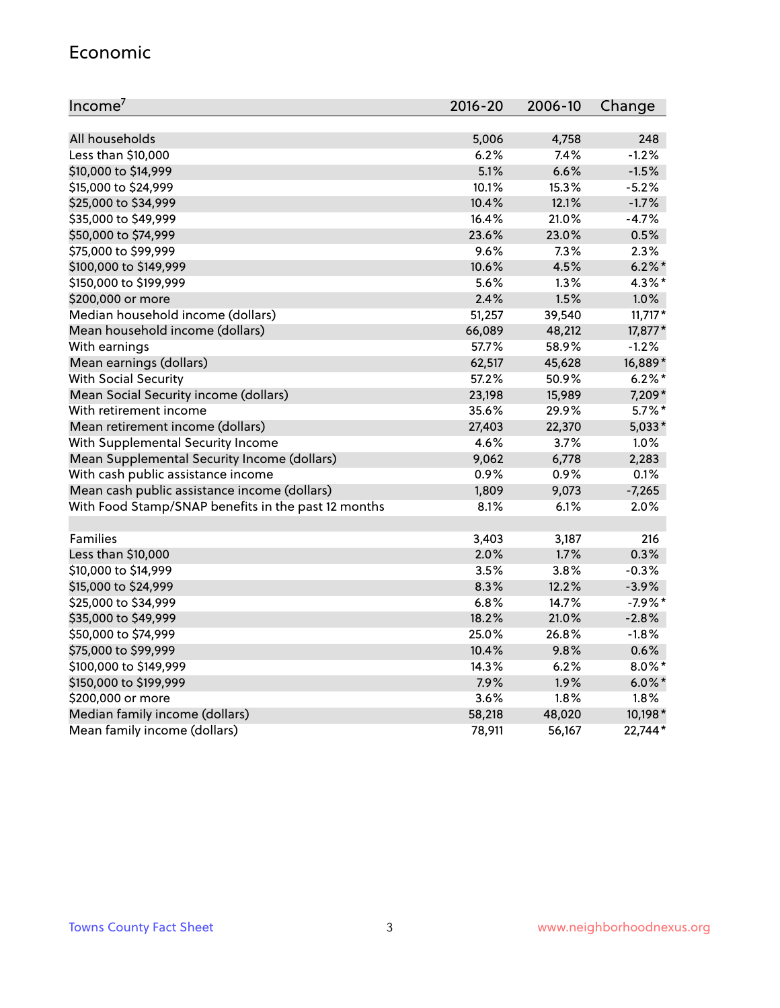#### Economic

| Income <sup>7</sup>                                 | $2016 - 20$ | 2006-10 | Change    |
|-----------------------------------------------------|-------------|---------|-----------|
|                                                     |             |         |           |
| All households                                      | 5,006       | 4,758   | 248       |
| Less than \$10,000                                  | 6.2%        | 7.4%    | $-1.2%$   |
| \$10,000 to \$14,999                                | 5.1%        | 6.6%    | $-1.5%$   |
| \$15,000 to \$24,999                                | 10.1%       | 15.3%   | $-5.2%$   |
| \$25,000 to \$34,999                                | 10.4%       | 12.1%   | $-1.7%$   |
| \$35,000 to \$49,999                                | 16.4%       | 21.0%   | $-4.7%$   |
| \$50,000 to \$74,999                                | 23.6%       | 23.0%   | 0.5%      |
| \$75,000 to \$99,999                                | 9.6%        | 7.3%    | 2.3%      |
| \$100,000 to \$149,999                              | 10.6%       | 4.5%    | $6.2\%$ * |
| \$150,000 to \$199,999                              | 5.6%        | 1.3%    | 4.3%*     |
| \$200,000 or more                                   | 2.4%        | 1.5%    | 1.0%      |
| Median household income (dollars)                   | 51,257      | 39,540  | $11,717*$ |
| Mean household income (dollars)                     | 66,089      | 48,212  | 17,877*   |
| With earnings                                       | 57.7%       | 58.9%   | $-1.2%$   |
| Mean earnings (dollars)                             | 62,517      | 45,628  | 16,889*   |
| <b>With Social Security</b>                         | 57.2%       | 50.9%   | $6.2\%$ * |
| Mean Social Security income (dollars)               | 23,198      | 15,989  | 7,209*    |
| With retirement income                              | 35.6%       | 29.9%   | $5.7\%$ * |
| Mean retirement income (dollars)                    | 27,403      | 22,370  | $5,033*$  |
| With Supplemental Security Income                   | 4.6%        | $3.7\%$ | 1.0%      |
| Mean Supplemental Security Income (dollars)         | 9,062       | 6,778   | 2,283     |
| With cash public assistance income                  | 0.9%        | 0.9%    | 0.1%      |
| Mean cash public assistance income (dollars)        | 1,809       | 9,073   | $-7,265$  |
| With Food Stamp/SNAP benefits in the past 12 months | 8.1%        | 6.1%    | 2.0%      |
|                                                     |             |         |           |
| Families                                            | 3,403       | 3,187   | 216       |
| Less than \$10,000                                  | 2.0%        | 1.7%    | 0.3%      |
| \$10,000 to \$14,999                                | 3.5%        | 3.8%    | $-0.3%$   |
| \$15,000 to \$24,999                                | 8.3%        | 12.2%   | $-3.9%$   |
| \$25,000 to \$34,999                                | 6.8%        | 14.7%   | $-7.9%$ * |
| \$35,000 to \$49,999                                | 18.2%       | 21.0%   | $-2.8%$   |
| \$50,000 to \$74,999                                | 25.0%       | 26.8%   | $-1.8%$   |
| \$75,000 to \$99,999                                | 10.4%       | 9.8%    | 0.6%      |
| \$100,000 to \$149,999                              | 14.3%       | 6.2%    | $8.0\%$ * |
| \$150,000 to \$199,999                              | 7.9%        | 1.9%    | $6.0\%$ * |
| \$200,000 or more                                   | 3.6%        | 1.8%    | 1.8%      |
| Median family income (dollars)                      | 58,218      | 48,020  | 10,198*   |
| Mean family income (dollars)                        | 78,911      | 56,167  | 22,744*   |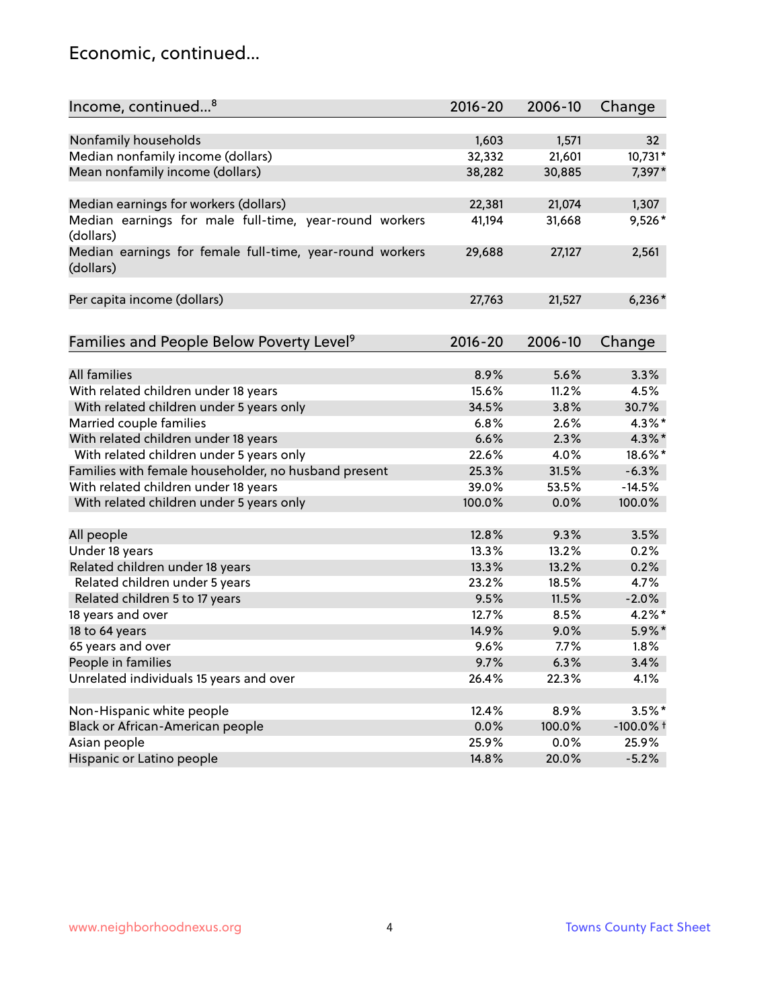### Economic, continued...

| Income, continued <sup>8</sup>                                        | $2016 - 20$ | 2006-10 | Change          |
|-----------------------------------------------------------------------|-------------|---------|-----------------|
|                                                                       |             |         |                 |
| Nonfamily households                                                  | 1,603       | 1,571   | 32 <sub>2</sub> |
| Median nonfamily income (dollars)                                     | 32,332      | 21,601  | 10,731*         |
| Mean nonfamily income (dollars)                                       | 38,282      | 30,885  | 7,397*          |
| Median earnings for workers (dollars)                                 | 22,381      | 21,074  | 1,307           |
| Median earnings for male full-time, year-round workers<br>(dollars)   | 41,194      | 31,668  | 9,526*          |
| Median earnings for female full-time, year-round workers<br>(dollars) | 29,688      | 27,127  | 2,561           |
| Per capita income (dollars)                                           | 27,763      | 21,527  | $6,236*$        |
| Families and People Below Poverty Level <sup>9</sup>                  | $2016 - 20$ | 2006-10 | Change          |
|                                                                       |             |         |                 |
| <b>All families</b>                                                   | 8.9%        | 5.6%    | 3.3%            |
| With related children under 18 years                                  | 15.6%       | 11.2%   | 4.5%            |
| With related children under 5 years only                              | 34.5%       | 3.8%    | 30.7%           |
| Married couple families                                               | 6.8%        | 2.6%    | 4.3%*           |
| With related children under 18 years                                  | 6.6%        | 2.3%    | $4.3\%$ *       |
| With related children under 5 years only                              | 22.6%       | 4.0%    | 18.6%*          |
| Families with female householder, no husband present                  | 25.3%       | 31.5%   | $-6.3%$         |
| With related children under 18 years                                  | 39.0%       | 53.5%   | $-14.5%$        |
| With related children under 5 years only                              | 100.0%      | 0.0%    | 100.0%          |
| All people                                                            | 12.8%       | 9.3%    | 3.5%            |
| Under 18 years                                                        | 13.3%       | 13.2%   | 0.2%            |
| Related children under 18 years                                       | 13.3%       | 13.2%   | 0.2%            |
| Related children under 5 years                                        | 23.2%       | 18.5%   | 4.7%            |
| Related children 5 to 17 years                                        | 9.5%        | 11.5%   | $-2.0%$         |
| 18 years and over                                                     | 12.7%       | 8.5%    | 4.2%*           |
| 18 to 64 years                                                        | 14.9%       | 9.0%    | 5.9%*           |
| 65 years and over                                                     | 9.6%        | 7.7%    | 1.8%            |
| People in families                                                    | 9.7%        | 6.3%    | 3.4%            |
| Unrelated individuals 15 years and over                               | 26.4%       | 22.3%   | 4.1%            |
|                                                                       |             |         |                 |
| Non-Hispanic white people                                             | 12.4%       | 8.9%    | $3.5%$ *        |
| Black or African-American people                                      | 0.0%        | 100.0%  | $-100.0\%$ t    |
| Asian people                                                          | 25.9%       | 0.0%    | 25.9%           |
| Hispanic or Latino people                                             | 14.8%       | 20.0%   | $-5.2%$         |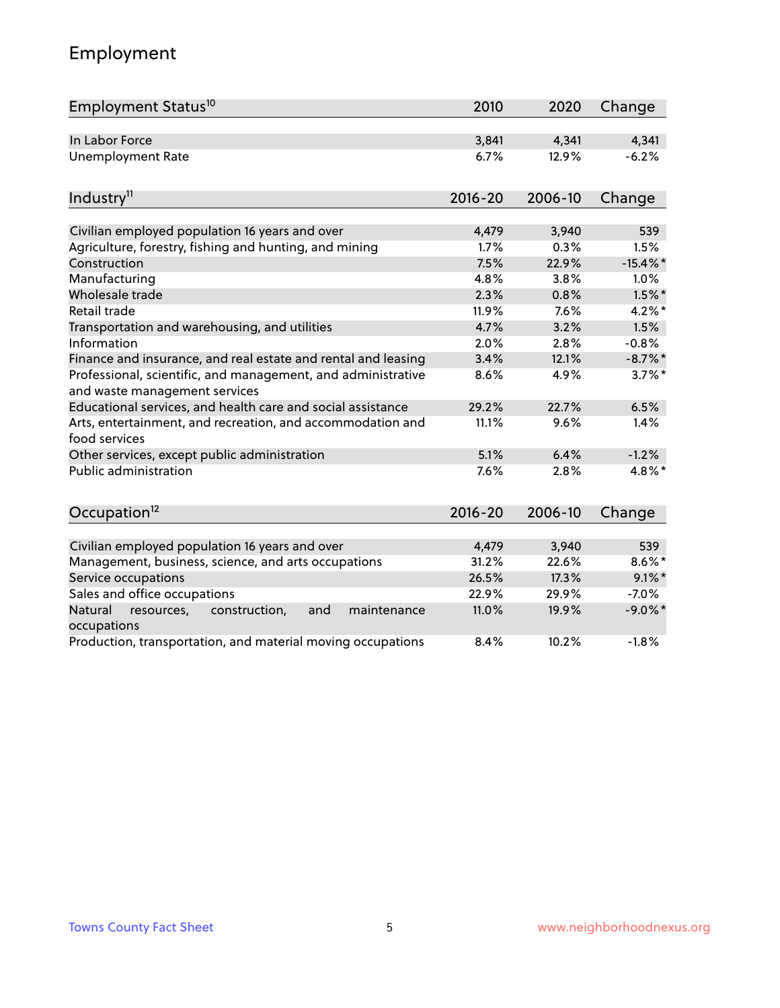# Employment

| Employment Status <sup>10</sup>                                                               | 2010        | 2020    | Change      |
|-----------------------------------------------------------------------------------------------|-------------|---------|-------------|
| In Labor Force                                                                                | 3,841       | 4,341   | 4,341       |
| <b>Unemployment Rate</b>                                                                      | 6.7%        | 12.9%   | $-6.2%$     |
| Industry <sup>11</sup>                                                                        | $2016 - 20$ | 2006-10 | Change      |
| Civilian employed population 16 years and over                                                | 4,479       | 3,940   | 539         |
| Agriculture, forestry, fishing and hunting, and mining                                        | 1.7%        | 0.3%    | 1.5%        |
| Construction                                                                                  | 7.5%        | 22.9%   | $-15.4\%$ * |
| Manufacturing                                                                                 | 4.8%        | 3.8%    | 1.0%        |
| Wholesale trade                                                                               | 2.3%        | 0.8%    | $1.5\%$ *   |
| Retail trade                                                                                  | 11.9%       | 7.6%    | $4.2\%$ *   |
| Transportation and warehousing, and utilities                                                 | 4.7%        | 3.2%    | 1.5%        |
| Information                                                                                   | 2.0%        | 2.8%    | $-0.8%$     |
| Finance and insurance, and real estate and rental and leasing                                 | 3.4%        | 12.1%   | $-8.7\%$ *  |
| Professional, scientific, and management, and administrative<br>and waste management services | 8.6%        | 4.9%    | $3.7\%$ *   |
| Educational services, and health care and social assistance                                   | 29.2%       | 22.7%   | 6.5%        |
| Arts, entertainment, and recreation, and accommodation and<br>food services                   | 11.1%       | 9.6%    | 1.4%        |
| Other services, except public administration                                                  | 5.1%        | 6.4%    | $-1.2%$     |
| Public administration                                                                         | 7.6%        | 2.8%    | 4.8%*       |
| Occupation <sup>12</sup>                                                                      | $2016 - 20$ | 2006-10 | Change      |
|                                                                                               |             |         |             |
| Civilian employed population 16 years and over                                                | 4,479       | 3,940   | 539         |
| Management, business, science, and arts occupations                                           | 31.2%       | 22.6%   | $8.6\%$ *   |
| Service occupations                                                                           | 26.5%       | 17.3%   | $9.1\%$ *   |
| Sales and office occupations                                                                  | 22.9%       | 29.9%   | $-7.0%$     |
| Natural<br>resources,<br>construction,<br>and<br>maintenance<br>occupations                   | 11.0%       | 19.9%   | $-9.0\%$ *  |
| Production, transportation, and material moving occupations                                   | 8.4%        | 10.2%   | $-1.8%$     |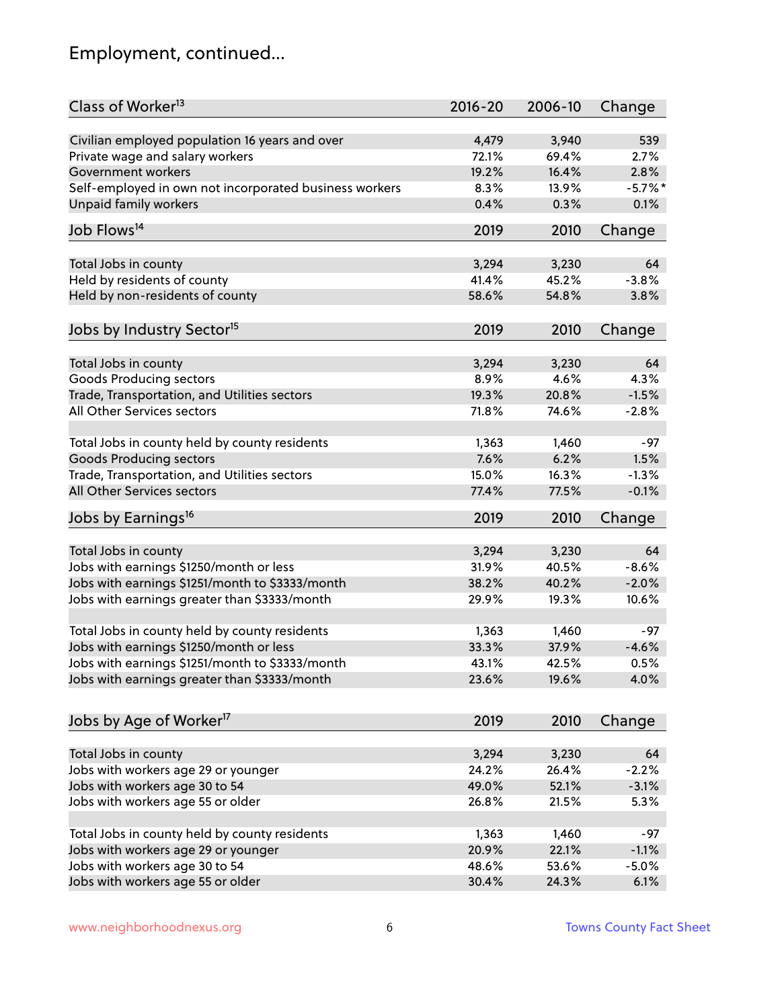# Employment, continued...

| Class of Worker <sup>13</sup>                          | $2016 - 20$ | 2006-10 | Change     |
|--------------------------------------------------------|-------------|---------|------------|
| Civilian employed population 16 years and over         | 4,479       | 3,940   | 539        |
| Private wage and salary workers                        | 72.1%       | 69.4%   | 2.7%       |
| Government workers                                     | 19.2%       | 16.4%   | 2.8%       |
| Self-employed in own not incorporated business workers | 8.3%        | 13.9%   | $-5.7\%$ * |
| Unpaid family workers                                  | 0.4%        | 0.3%    | 0.1%       |
| Job Flows <sup>14</sup>                                | 2019        | 2010    | Change     |
|                                                        |             |         |            |
| Total Jobs in county                                   | 3,294       | 3,230   | 64         |
| Held by residents of county                            | 41.4%       | 45.2%   | $-3.8%$    |
| Held by non-residents of county                        | 58.6%       | 54.8%   | 3.8%       |
|                                                        |             |         |            |
| Jobs by Industry Sector <sup>15</sup>                  | 2019        | 2010    | Change     |
| Total Jobs in county                                   | 3,294       | 3,230   | 64         |
| Goods Producing sectors                                | 8.9%        | 4.6%    | 4.3%       |
| Trade, Transportation, and Utilities sectors           | 19.3%       | 20.8%   | $-1.5%$    |
| All Other Services sectors                             | 71.8%       | 74.6%   | $-2.8%$    |
|                                                        |             |         |            |
| Total Jobs in county held by county residents          | 1,363       | 1,460   | $-97$      |
| <b>Goods Producing sectors</b>                         | 7.6%        | 6.2%    | 1.5%       |
| Trade, Transportation, and Utilities sectors           | 15.0%       | 16.3%   | $-1.3%$    |
| All Other Services sectors                             | 77.4%       | 77.5%   | $-0.1%$    |
| Jobs by Earnings <sup>16</sup>                         | 2019        | 2010    | Change     |
|                                                        |             |         |            |
| Total Jobs in county                                   | 3,294       | 3,230   | 64         |
| Jobs with earnings \$1250/month or less                | 31.9%       | 40.5%   | $-8.6%$    |
| Jobs with earnings \$1251/month to \$3333/month        | 38.2%       | 40.2%   | $-2.0%$    |
| Jobs with earnings greater than \$3333/month           | 29.9%       | 19.3%   | 10.6%      |
|                                                        |             |         |            |
| Total Jobs in county held by county residents          | 1,363       | 1,460   | -97        |
| Jobs with earnings \$1250/month or less                | 33.3%       | 37.9%   | $-4.6%$    |
| Jobs with earnings \$1251/month to \$3333/month        | 43.1%       | 42.5%   | 0.5%       |
| Jobs with earnings greater than \$3333/month           | 23.6%       | 19.6%   | 4.0%       |
|                                                        |             |         |            |
| Jobs by Age of Worker <sup>17</sup>                    | 2019        | 2010    | Change     |
|                                                        |             |         |            |
| Total Jobs in county                                   | 3,294       | 3,230   | 64         |
| Jobs with workers age 29 or younger                    | 24.2%       | 26.4%   | $-2.2%$    |
| Jobs with workers age 30 to 54                         | 49.0%       | 52.1%   | $-3.1%$    |
| Jobs with workers age 55 or older                      | 26.8%       | 21.5%   | 5.3%       |
| Total Jobs in county held by county residents          | 1,363       | 1,460   | $-97$      |
| Jobs with workers age 29 or younger                    | 20.9%       | 22.1%   | $-1.1%$    |
| Jobs with workers age 30 to 54                         | 48.6%       | 53.6%   | $-5.0%$    |
| Jobs with workers age 55 or older                      | 30.4%       | 24.3%   | 6.1%       |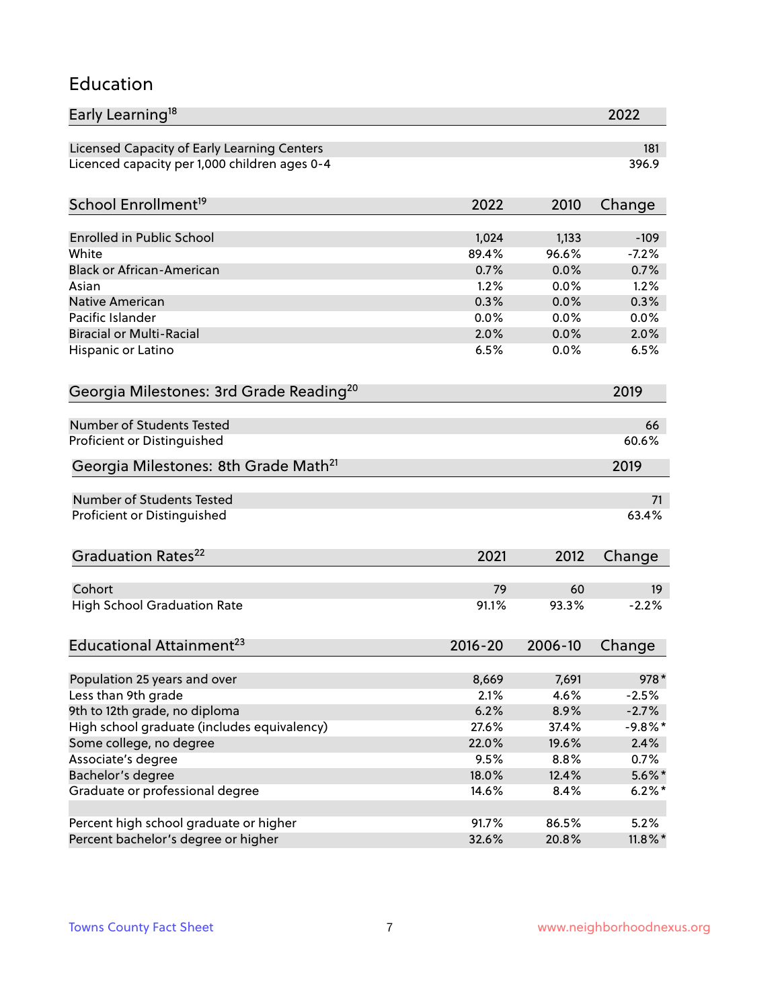#### Education

| Early Learning <sup>18</sup>                        |              |         | 2022          |
|-----------------------------------------------------|--------------|---------|---------------|
| Licensed Capacity of Early Learning Centers         |              |         | 181           |
| Licenced capacity per 1,000 children ages 0-4       |              |         | 396.9         |
| School Enrollment <sup>19</sup>                     | 2022         | 2010    | Change        |
|                                                     |              |         |               |
| <b>Enrolled in Public School</b>                    | 1,024        | 1,133   | $-109$        |
| White                                               | 89.4%        | 96.6%   | $-7.2%$       |
| <b>Black or African-American</b>                    | 0.7%         | 0.0%    | 0.7%          |
| Asian<br><b>Native American</b>                     | 1.2%         | 0.0%    | 1.2%          |
| Pacific Islander                                    | 0.3%<br>0.0% | 0.0%    | 0.3%          |
| <b>Biracial or Multi-Racial</b>                     | 2.0%         | 0.0%    | 0.0%<br>2.0%  |
|                                                     |              | 0.0%    |               |
| Hispanic or Latino                                  | 6.5%         | 0.0%    | 6.5%          |
| Georgia Milestones: 3rd Grade Reading <sup>20</sup> |              |         | 2019          |
| <b>Number of Students Tested</b>                    |              |         | 66            |
|                                                     |              |         | 60.6%         |
| Proficient or Distinguished                         |              |         |               |
| Georgia Milestones: 8th Grade Math <sup>21</sup>    |              |         | 2019          |
| <b>Number of Students Tested</b>                    |              |         | 71            |
| Proficient or Distinguished                         |              |         | 63.4%         |
| Graduation Rates <sup>22</sup>                      | 2021         | 2012    | Change        |
| Cohort                                              |              | 60      |               |
| <b>High School Graduation Rate</b>                  | 79<br>91.1%  | 93.3%   | 19<br>$-2.2%$ |
|                                                     |              |         |               |
| Educational Attainment <sup>23</sup>                | $2016 - 20$  | 2006-10 | Change        |
| Population 25 years and over                        | 8,669        | 7,691   | 978*          |
| Less than 9th grade                                 | 2.1%         | 4.6%    | $-2.5%$       |
| 9th to 12th grade, no diploma                       | 6.2%         | 8.9%    | $-2.7%$       |
| High school graduate (includes equivalency)         | 27.6%        | 37.4%   | $-9.8\%$ *    |
| Some college, no degree                             | 22.0%        | 19.6%   | 2.4%          |
| Associate's degree                                  | 9.5%         | 8.8%    | 0.7%          |
| Bachelor's degree                                   | 18.0%        | 12.4%   | $5.6\%$ *     |
| Graduate or professional degree                     | 14.6%        | 8.4%    | $6.2\%$ *     |
|                                                     |              |         |               |
| Percent high school graduate or higher              | 91.7%        | 86.5%   | 5.2%          |
| Percent bachelor's degree or higher                 | 32.6%        | 20.8%   | $11.8\%$ *    |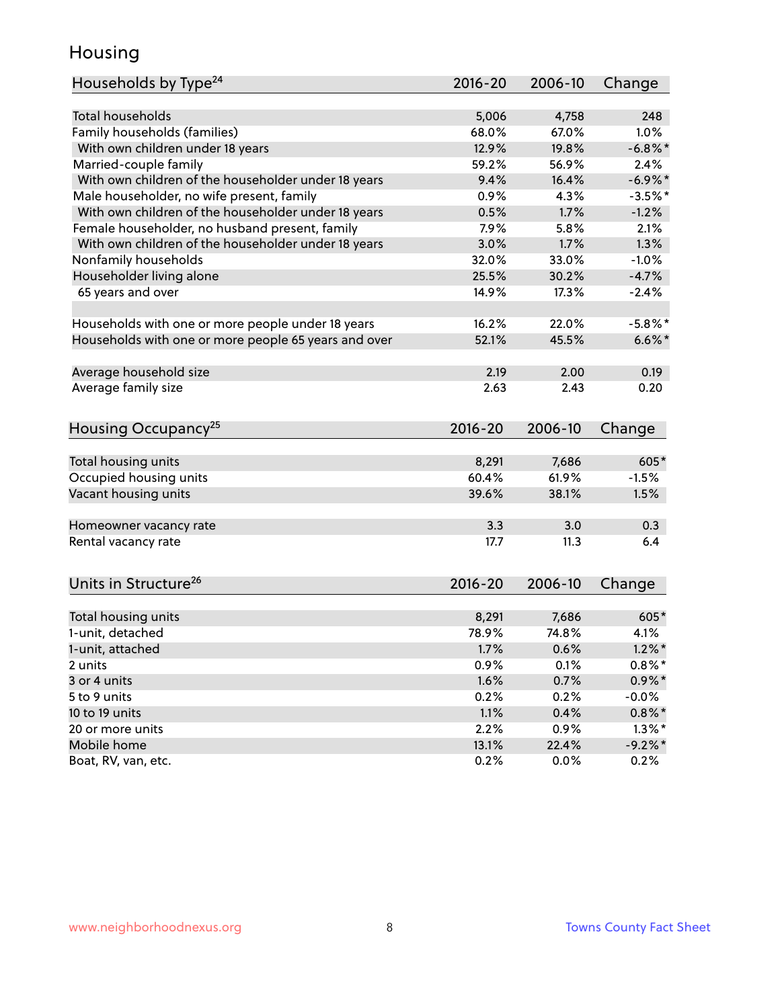### Housing

| Households by Type <sup>24</sup>                     | 2016-20     | 2006-10 | Change     |
|------------------------------------------------------|-------------|---------|------------|
|                                                      |             |         |            |
| <b>Total households</b>                              | 5,006       | 4,758   | 248        |
| Family households (families)                         | 68.0%       | 67.0%   | 1.0%       |
| With own children under 18 years                     | 12.9%       | 19.8%   | $-6.8\%$ * |
| Married-couple family                                | 59.2%       | 56.9%   | 2.4%       |
| With own children of the householder under 18 years  | 9.4%        | 16.4%   | $-6.9\%$ * |
| Male householder, no wife present, family            | 0.9%        | 4.3%    | $-3.5%$ *  |
| With own children of the householder under 18 years  | 0.5%        | 1.7%    | $-1.2%$    |
| Female householder, no husband present, family       | 7.9%        | 5.8%    | 2.1%       |
| With own children of the householder under 18 years  | 3.0%        | 1.7%    | 1.3%       |
| Nonfamily households                                 | 32.0%       | 33.0%   | $-1.0%$    |
| Householder living alone                             | 25.5%       | 30.2%   | $-4.7%$    |
| 65 years and over                                    | 14.9%       | 17.3%   | $-2.4%$    |
|                                                      |             |         |            |
| Households with one or more people under 18 years    | 16.2%       | 22.0%   | $-5.8\%$ * |
| Households with one or more people 65 years and over | 52.1%       | 45.5%   | $6.6\%$ *  |
| Average household size                               | 2.19        | 2.00    | 0.19       |
| Average family size                                  | 2.63        | 2.43    | 0.20       |
|                                                      |             |         |            |
| Housing Occupancy <sup>25</sup>                      | $2016 - 20$ | 2006-10 | Change     |
|                                                      |             |         |            |
| Total housing units                                  | 8,291       | 7,686   | 605*       |
| Occupied housing units                               | 60.4%       | 61.9%   | $-1.5%$    |
| Vacant housing units                                 | 39.6%       | 38.1%   | 1.5%       |
| Homeowner vacancy rate                               | 3.3         | 3.0     | 0.3        |
| Rental vacancy rate                                  | 17.7        | 11.3    | 6.4        |
|                                                      |             |         |            |
| Units in Structure <sup>26</sup>                     | 2016-20     | 2006-10 | Change     |
| Total housing units                                  | 8,291       | 7,686   | $605*$     |
| 1-unit, detached                                     | 78.9%       | 74.8%   | 4.1%       |
|                                                      |             |         |            |
| 1-unit, attached                                     | 1.7%        | 0.6%    | $1.2\%$ *  |
| 2 units                                              | 0.9%        | 0.1%    | $0.8\%$ *  |
| 3 or 4 units                                         | 1.6%        | 0.7%    | $0.9\% *$  |
| 5 to 9 units                                         | 0.2%        | 0.2%    | $-0.0%$    |
| 10 to 19 units                                       | 1.1%        | 0.4%    | $0.8\%$ *  |
| 20 or more units                                     | 2.2%        | 0.9%    | $1.3\%$ *  |
| Mobile home                                          | 13.1%       | 22.4%   | $-9.2%$ *  |
| Boat, RV, van, etc.                                  | 0.2%        | 0.0%    | 0.2%       |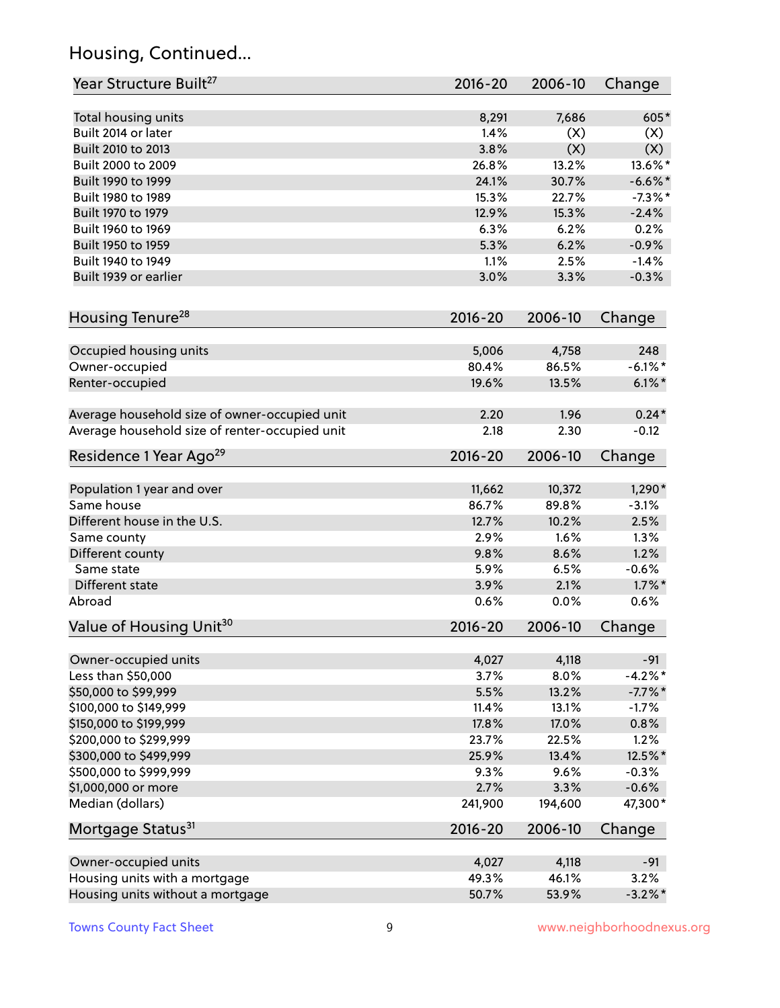# Housing, Continued...

| Year Structure Built <sup>27</sup>             | 2016-20     | 2006-10 | Change     |
|------------------------------------------------|-------------|---------|------------|
| Total housing units                            | 8,291       | 7,686   | 605*       |
| Built 2014 or later                            | 1.4%        | (X)     | (X)        |
| Built 2010 to 2013                             | 3.8%        | (X)     | (X)        |
| Built 2000 to 2009                             | 26.8%       | 13.2%   | 13.6%*     |
| Built 1990 to 1999                             | 24.1%       | 30.7%   | $-6.6\%$ * |
| Built 1980 to 1989                             | 15.3%       | 22.7%   | $-7.3\%$ * |
| Built 1970 to 1979                             | 12.9%       | 15.3%   | $-2.4%$    |
| Built 1960 to 1969                             | 6.3%        | 6.2%    | 0.2%       |
| Built 1950 to 1959                             | 5.3%        | 6.2%    | $-0.9%$    |
| Built 1940 to 1949                             | 1.1%        | 2.5%    | $-1.4%$    |
| Built 1939 or earlier                          | 3.0%        | 3.3%    | $-0.3%$    |
|                                                |             |         |            |
| Housing Tenure <sup>28</sup>                   | $2016 - 20$ | 2006-10 | Change     |
| Occupied housing units                         | 5,006       | 4,758   | 248        |
| Owner-occupied                                 | 80.4%       | 86.5%   | $-6.1\%$ * |
| Renter-occupied                                | 19.6%       | 13.5%   | $6.1\%$ *  |
| Average household size of owner-occupied unit  | 2.20        | 1.96    | $0.24*$    |
| Average household size of renter-occupied unit | 2.18        | 2.30    | $-0.12$    |
| Residence 1 Year Ago <sup>29</sup>             | 2016-20     | 2006-10 | Change     |
| Population 1 year and over                     | 11,662      | 10,372  | $1,290*$   |
| Same house                                     | 86.7%       | 89.8%   | $-3.1%$    |
| Different house in the U.S.                    | 12.7%       | 10.2%   | 2.5%       |
| Same county                                    | 2.9%        | 1.6%    | 1.3%       |
| Different county                               | 9.8%        | 8.6%    | 1.2%       |
| Same state                                     | 5.9%        | 6.5%    | $-0.6%$    |
| Different state                                | 3.9%        | 2.1%    | $1.7\%$ *  |
| Abroad                                         | 0.6%        | 0.0%    | 0.6%       |
| Value of Housing Unit <sup>30</sup>            | 2016-20     | 2006-10 | Change     |
| Owner-occupied units                           | 4,027       | 4,118   | $-91$      |
| Less than \$50,000                             | 3.7%        | 8.0%    | $-4.2%$ *  |
| \$50,000 to \$99,999                           | 5.5%        | 13.2%   | $-7.7\%$ * |
| \$100,000 to \$149,999                         | 11.4%       | 13.1%   | $-1.7%$    |
| \$150,000 to \$199,999                         | 17.8%       | 17.0%   | 0.8%       |
| \$200,000 to \$299,999                         | 23.7%       | 22.5%   | 1.2%       |
| \$300,000 to \$499,999                         | 25.9%       | 13.4%   | 12.5%*     |
| \$500,000 to \$999,999                         | 9.3%        | 9.6%    | $-0.3%$    |
| \$1,000,000 or more                            | 2.7%        | 3.3%    | $-0.6%$    |
| Median (dollars)                               | 241,900     | 194,600 | 47,300*    |
| Mortgage Status <sup>31</sup>                  | $2016 - 20$ | 2006-10 | Change     |
|                                                |             |         |            |
| Owner-occupied units                           | 4,027       | 4,118   | $-91$      |
| Housing units with a mortgage                  | 49.3%       | 46.1%   | 3.2%       |
| Housing units without a mortgage               | 50.7%       | 53.9%   | $-3.2\%$ * |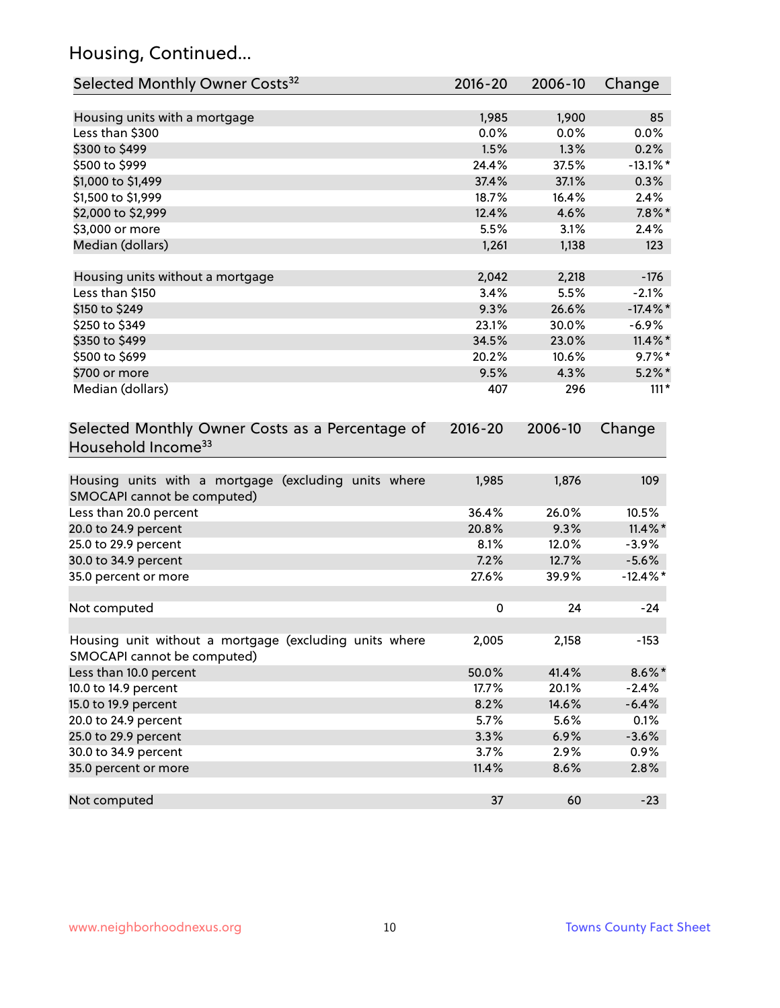# Housing, Continued...

| Selected Monthly Owner Costs <sup>32</sup>                                            | 2016-20   | 2006-10 | Change      |
|---------------------------------------------------------------------------------------|-----------|---------|-------------|
| Housing units with a mortgage                                                         | 1,985     | 1,900   | 85          |
| Less than \$300                                                                       | 0.0%      | 0.0%    | 0.0%        |
| \$300 to \$499                                                                        | 1.5%      | 1.3%    | 0.2%        |
| \$500 to \$999                                                                        | 24.4%     | 37.5%   | $-13.1\%$ * |
| \$1,000 to \$1,499                                                                    | 37.4%     | 37.1%   | 0.3%        |
| \$1,500 to \$1,999                                                                    | 18.7%     | 16.4%   | 2.4%        |
| \$2,000 to \$2,999                                                                    | 12.4%     | 4.6%    | $7.8\%$ *   |
| \$3,000 or more                                                                       | 5.5%      | 3.1%    | 2.4%        |
| Median (dollars)                                                                      | 1,261     | 1,138   | 123         |
| Housing units without a mortgage                                                      | 2,042     | 2,218   | $-176$      |
| Less than \$150                                                                       | 3.4%      | 5.5%    | $-2.1%$     |
| \$150 to \$249                                                                        | 9.3%      | 26.6%   | $-17.4\%$ * |
| \$250 to \$349                                                                        | 23.1%     | 30.0%   | $-6.9\%$    |
| \$350 to \$499                                                                        | 34.5%     | 23.0%   | $11.4\%$ *  |
| \$500 to \$699                                                                        | 20.2%     | 10.6%   | $9.7\%$ *   |
| \$700 or more                                                                         | 9.5%      | 4.3%    | $5.2\%$ *   |
| Median (dollars)                                                                      | 407       | 296     | $111*$      |
| Household Income <sup>33</sup>                                                        |           |         |             |
| Housing units with a mortgage (excluding units where<br>SMOCAPI cannot be computed)   | 1,985     | 1,876   | 109         |
| Less than 20.0 percent                                                                | 36.4%     | 26.0%   | 10.5%       |
| 20.0 to 24.9 percent                                                                  | 20.8%     | 9.3%    | $11.4\%$ *  |
| 25.0 to 29.9 percent                                                                  | 8.1%      | 12.0%   | $-3.9%$     |
| 30.0 to 34.9 percent                                                                  | 7.2%      | 12.7%   | $-5.6%$     |
| 35.0 percent or more                                                                  | 27.6%     | 39.9%   | $-12.4\%$ * |
| Not computed                                                                          | $\pmb{0}$ | 24      | $-24$       |
| Housing unit without a mortgage (excluding units where<br>SMOCAPI cannot be computed) | 2,005     | 2,158   | $-153$      |
| Less than 10.0 percent                                                                | 50.0%     | 41.4%   | $8.6\%$ *   |
| 10.0 to 14.9 percent                                                                  | 17.7%     | 20.1%   | $-2.4%$     |
| 15.0 to 19.9 percent                                                                  | 8.2%      | 14.6%   | $-6.4%$     |
| 20.0 to 24.9 percent                                                                  | 5.7%      | 5.6%    | 0.1%        |
| 25.0 to 29.9 percent                                                                  | 3.3%      | 6.9%    | $-3.6%$     |
| 30.0 to 34.9 percent                                                                  | 3.7%      | 2.9%    | 0.9%        |
| 35.0 percent or more                                                                  | 11.4%     | 8.6%    | 2.8%        |
| Not computed                                                                          | 37        | 60      | $-23$       |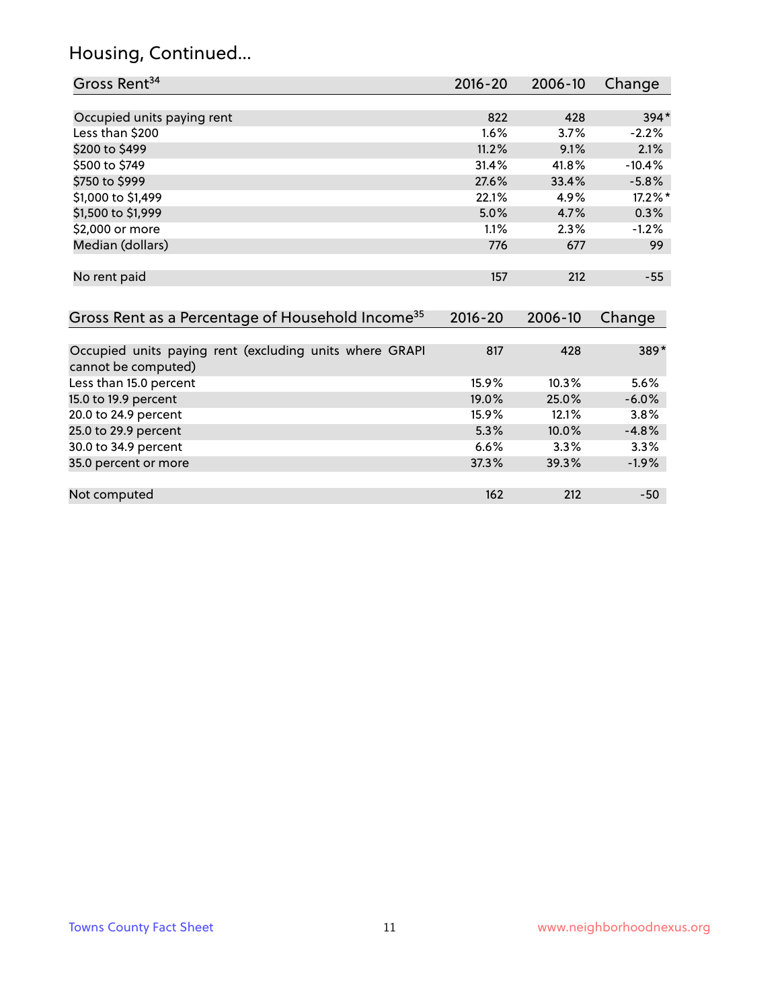# Housing, Continued...

| Gross Rent <sup>34</sup>                                                       | 2016-20     | $2006 - 10$ | Change   |
|--------------------------------------------------------------------------------|-------------|-------------|----------|
|                                                                                |             |             |          |
| Occupied units paying rent                                                     | 822         | 428         | $394*$   |
| Less than \$200                                                                | 1.6%        | 3.7%        | $-2.2%$  |
| \$200 to \$499                                                                 | 11.2%       | 9.1%        | 2.1%     |
| \$500 to \$749                                                                 | 31.4%       | 41.8%       | $-10.4%$ |
| \$750 to \$999                                                                 | 27.6%       | 33.4%       | $-5.8%$  |
| \$1,000 to \$1,499                                                             | 22.1%       | 4.9%        | 17.2%*   |
| \$1,500 to \$1,999                                                             | 5.0%        | 4.7%        | 0.3%     |
| \$2,000 or more                                                                | 1.1%        | 2.3%        | $-1.2%$  |
| Median (dollars)                                                               | 776         | 677         | 99       |
|                                                                                |             |             |          |
| No rent paid                                                                   | 157         | 212         | $-55$    |
|                                                                                |             |             |          |
| Gross Rent as a Percentage of Household Income <sup>35</sup>                   | $2016 - 20$ | 2006-10     | Change   |
|                                                                                |             |             |          |
| Occupied units paying rent (excluding units where GRAPI<br>cannot be computed) | 817         | 428         | 389*     |
| Less than 15.0 percent                                                         | 15.9%       | 10.3%       | 5.6%     |
| 15.0 to 19.9 percent                                                           | 19.0%       | 25.0%       | $-6.0%$  |
| 20.0 to 24.9 percent                                                           | 15.9%       | 12.1%       | 3.8%     |
| 25.0 to 29.9 percent                                                           | 5.3%        | 10.0%       | $-4.8%$  |
| 30.0 to 34.9 percent                                                           | 6.6%        | 3.3%        | 3.3%     |
| 35.0 percent or more                                                           | 37.3%       | 39.3%       | $-1.9%$  |
|                                                                                |             |             |          |
| Not computed                                                                   | 162         | 212         | $-50$    |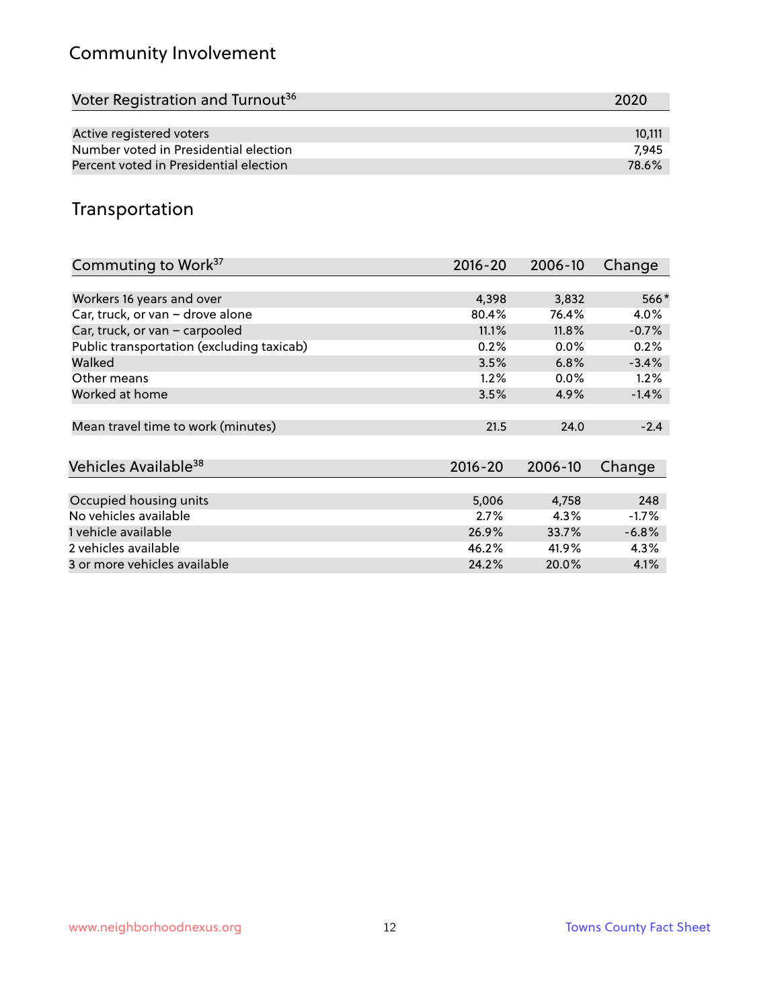# Community Involvement

| Voter Registration and Turnout <sup>36</sup> | 2020   |
|----------------------------------------------|--------|
|                                              |        |
| Active registered voters                     | 10.111 |
| Number voted in Presidential election        | 7.945  |
| Percent voted in Presidential election       | 78.6%  |

## Transportation

| Commuting to Work <sup>37</sup>           | 2016-20     | 2006-10 | Change  |
|-------------------------------------------|-------------|---------|---------|
|                                           |             |         |         |
| Workers 16 years and over                 | 4,398       | 3,832   | 566*    |
| Car, truck, or van - drove alone          | 80.4%       | 76.4%   | 4.0%    |
| Car, truck, or van - carpooled            | 11.1%       | 11.8%   | $-0.7%$ |
| Public transportation (excluding taxicab) | 0.2%        | $0.0\%$ | 0.2%    |
| Walked                                    | 3.5%        | 6.8%    | $-3.4%$ |
| Other means                               | 1.2%        | $0.0\%$ | 1.2%    |
| Worked at home                            | 3.5%        | 4.9%    | $-1.4%$ |
|                                           |             |         |         |
| Mean travel time to work (minutes)        | 21.5        | 24.0    | $-2.4$  |
|                                           |             |         |         |
| Vehicles Available <sup>38</sup>          | $2016 - 20$ | 2006-10 | Change  |
|                                           |             |         |         |
| Occupied housing units                    | 5,006       | 4,758   | 248     |
| No vehicles available                     | 2.7%        | 4.3%    | $-1.7%$ |
| 1 vehicle available                       | 26.9%       | 33.7%   | $-6.8%$ |
| 2 vehicles available                      | 46.2%       | 41.9%   | 4.3%    |
| 3 or more vehicles available              | 24.2%       | 20.0%   | 4.1%    |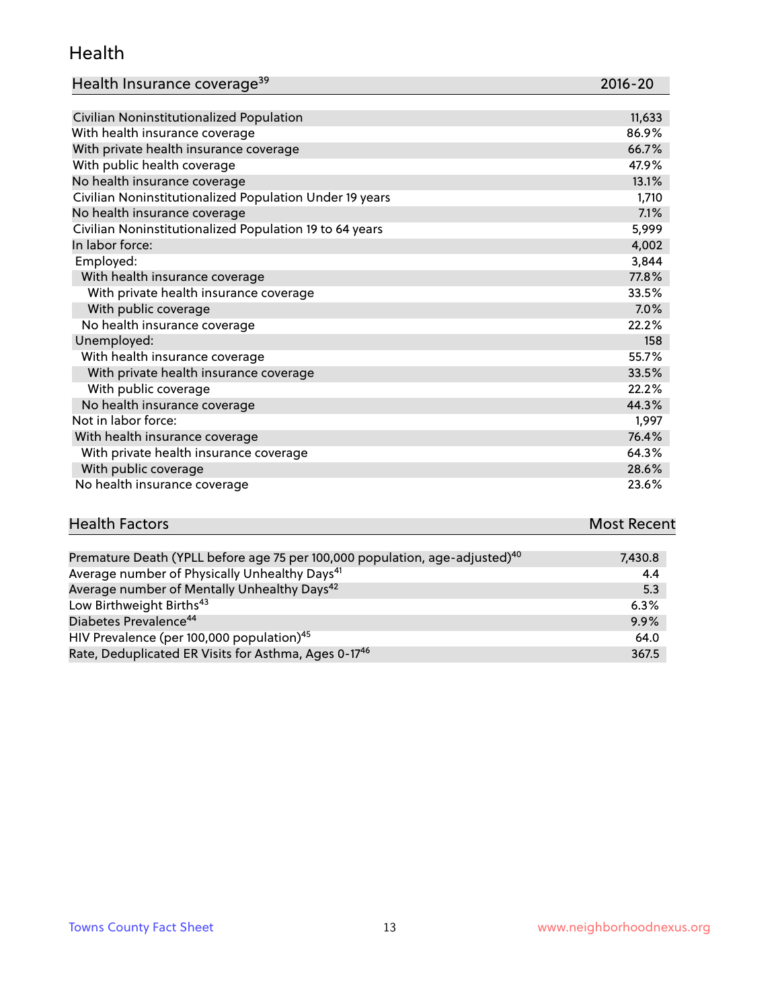#### Health

| Health Insurance coverage <sup>39</sup> | 2016-20 |
|-----------------------------------------|---------|
|-----------------------------------------|---------|

| Civilian Noninstitutionalized Population                | 11,633 |
|---------------------------------------------------------|--------|
| With health insurance coverage                          | 86.9%  |
| With private health insurance coverage                  | 66.7%  |
| With public health coverage                             | 47.9%  |
| No health insurance coverage                            | 13.1%  |
| Civilian Noninstitutionalized Population Under 19 years | 1,710  |
| No health insurance coverage                            | 7.1%   |
| Civilian Noninstitutionalized Population 19 to 64 years | 5,999  |
| In labor force:                                         | 4,002  |
| Employed:                                               | 3,844  |
| With health insurance coverage                          | 77.8%  |
| With private health insurance coverage                  | 33.5%  |
| With public coverage                                    | 7.0%   |
| No health insurance coverage                            | 22.2%  |
| Unemployed:                                             | 158    |
| With health insurance coverage                          | 55.7%  |
| With private health insurance coverage                  | 33.5%  |
| With public coverage                                    | 22.2%  |
| No health insurance coverage                            | 44.3%  |
| Not in labor force:                                     | 1,997  |
| With health insurance coverage                          | 76.4%  |
| With private health insurance coverage                  | 64.3%  |
| With public coverage                                    | 28.6%  |
| No health insurance coverage                            | 23.6%  |

| <b>Health Factors</b> | <b>Most Recent</b> |
|-----------------------|--------------------|
|                       |                    |

| Premature Death (YPLL before age 75 per 100,000 population, age-adjusted) <sup>40</sup> | 7,430.8 |
|-----------------------------------------------------------------------------------------|---------|
| Average number of Physically Unhealthy Days <sup>41</sup>                               | 4.4     |
| Average number of Mentally Unhealthy Days <sup>42</sup>                                 | 5.3     |
| Low Birthweight Births <sup>43</sup>                                                    | 6.3%    |
| Diabetes Prevalence <sup>44</sup>                                                       | 9.9%    |
| HIV Prevalence (per 100,000 population) <sup>45</sup>                                   | 64.0    |
| Rate, Deduplicated ER Visits for Asthma, Ages 0-17 <sup>46</sup>                        | 367.5   |